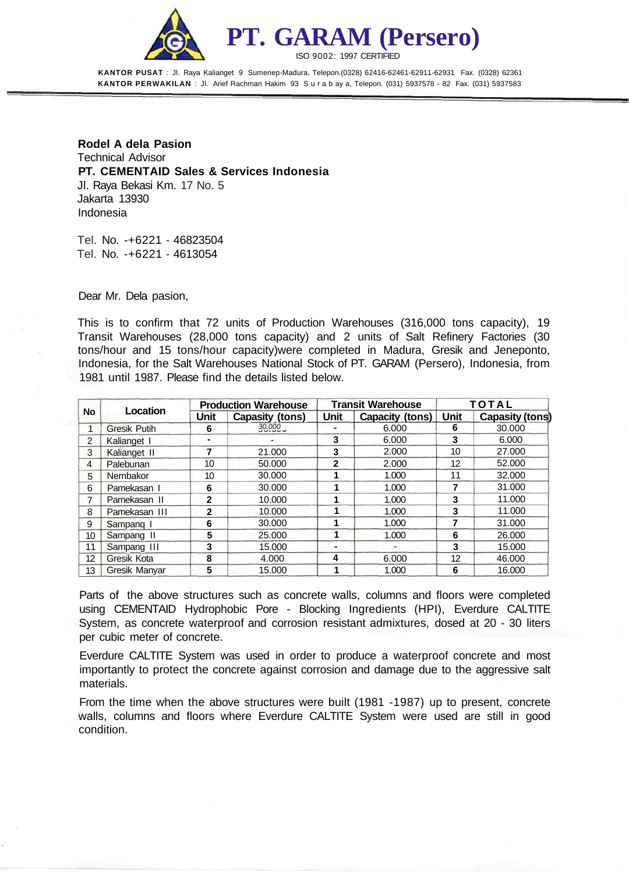

**PT. GARAM (Persero)** ISO 9002: 1997 CERTIFIED

**KANTOR PUSAT** : Jl. Raya Kalianget 9 Sumenep-Madura, Telepon.(0328) 62416-62461-62911-62931 Fax. (0328) 62361 **KANTOR PERWAKILAN** : Jl. Arief Rachman Hakim 93 S u r a b ay a, Telepon. (031) 5937578 - 82 Fax. (031) 5937583

**Rodel A dela Pasion** Technical Advisor **PT. CEMENTAID Sales & Services Indonesia** Jl. Raya Bekasi Km. 17 No. 5 Jakarta 13930 Indonesia

Tel. No. -+6221 - 46823504 Tel. No. -+6221 - 4613054

Dear Mr. Dela pasion,

This is to confirm that 72 units of Production Warehouses (316,000 tons capacity), 19 Transit Warehouses (28,000 tons capacity) and 2 units of Salt Refinery Factories (30 tons/hour and 15 tons/hour capacity)were completed in Madura, Gresik and Jeneponto, Indonesia, for the Salt Warehouses National Stock of PT. GARAM (Persero), Indonesia, from 1981 until 1987. Please find the details listed below.

| No              | Location             | <b>Production Warehouse</b> |                 | <b>Transit Warehouse</b> |                 | <b>TOTAL</b> |                 |
|-----------------|----------------------|-----------------------------|-----------------|--------------------------|-----------------|--------------|-----------------|
|                 |                      | Unit                        | Capasity (tons) | Unit                     | Capacity (tons) | Unit         | Capasity (tons) |
| 1               | <b>Gresik Putih</b>  | 6                           | 30,000          |                          | 6.000           | 6            | 30,000          |
| $\overline{2}$  | Kalianget I          |                             |                 | 3                        | 6.000           | 3            | 6.000           |
| 3               | Kalianget II         | 7                           | 21.000          | 3                        | 2.000           | 10           | 27,000          |
| 4               | Palebunan            | 10                          | 50,000          | 2                        | 2.000           | 12           | 52,000          |
| 5               | Nembakor             | 10                          | 30.000          |                          | 1.000           | 11           | 32,000          |
| 6               | Pamekasan I          | 6                           | 30,000          |                          | 1.000           | 7            | 31.000          |
| 7               | Pamekasan II         | $\mathbf{2}$                | 10.000          |                          | 1.000           | 3            | 11.000          |
| 8               | Pamekasan III        | $\mathbf{2}$                | 10.000          |                          | 1.000           | 3            | 11.000          |
| 9               | Sampang I            | 6                           | 30,000          |                          | 1.000           | 7            | 31,000          |
| 10              | Sampang II           | 5                           | 25.000          |                          | 1.000           | 6            | 26,000          |
| 11              | Sampang III          | 3                           | 15.000          |                          |                 | 3            | 15,000          |
| 12              | Gresik Kota          | 8                           | 4.000           | 4                        | 6.000           | 12           | 46,000          |
| 13 <sup>°</sup> | <b>Gresik Manvar</b> | 5                           | 15.000          |                          | 1.000           | 6            | 16.000          |

Parts of the above structures such as concrete walls, columns and floors were completed using CEMENTAID Hydrophobic Pore - Blocking Ingredients (HPI), Everdure CALTITE System, as concrete waterproof and corrosion resistant admixtures, dosed at 20 - 30 liters per cubic meter of concrete.

Everdure CALTITE System was used in order to produce a waterproof concrete and most importantly to protect the concrete against corrosion and damage due to the aggressive salt materials.

From the time when the above structures were built (1981 -1987) up to present, concrete walls, columns and floors where Everdure CALTITE System were used are still in good condition.